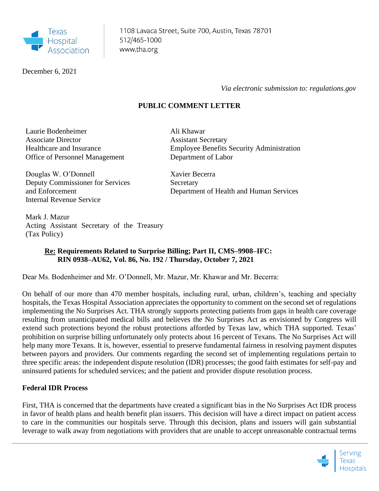

December 6, 2021

 *Via electronic submission to: regulations.gov*

## **PUBLIC COMMENT LETTER**

Ali Khawar

Assistant Secretary

Laurie Bodenheimer Associate Director Healthcare and Insurance Office of Personnel Management

Douglas W. O'Donnell Deputy Commissioner for Services and Enforcement Internal Revenue Service

Employee Benefits Security Administration Department of Labor

Xavier Becerra **Secretary** Department of Health and Human Services

Mark J. Mazur Acting Assistant Secretary of the Treasury (Tax Policy)

## **Re: Requirements Related to Surprise Billing; Part II, CMS–9908–IFC: RIN 0938–AU62, Vol. 86, No. 192 / Thursday, October 7, 2021**

Dear Ms. Bodenheimer and Mr. O'Donnell, Mr. Mazur, Mr. Khawar and Mr. Becerra:

On behalf of our more than 470 member hospitals, including rural, urban, children's, teaching and specialty hospitals, the Texas Hospital Association appreciates the opportunity to comment on the second set of regulations implementing the No Surprises Act. THA strongly supports protecting patients from gaps in health care coverage resulting from unanticipated medical bills and believes the No Surprises Act as envisioned by Congress will extend such protections beyond the robust protections afforded by Texas law, which THA supported. Texas' prohibition on surprise billing unfortunately only protects about 16 percent of Texans. The No Surprises Act will help many more Texans. It is, however, essential to preserve fundamental fairness in resolving payment disputes between payors and providers. Our comments regarding the second set of implementing regulations pertain to three specific areas: the independent dispute resolution (IDR) processes; the good faith estimates for self-pay and uninsured patients for scheduled services; and the patient and provider dispute resolution process.

## **Federal IDR Process**

First, THA is concerned that the departments have created a significant bias in the No Surprises Act IDR process in favor of health plans and health benefit plan issuers. This decision will have a direct impact on patient access to care in the communities our hospitals serve. Through this decision, plans and issuers will gain substantial leverage to walk away from negotiations with providers that are unable to accept unreasonable contractual terms

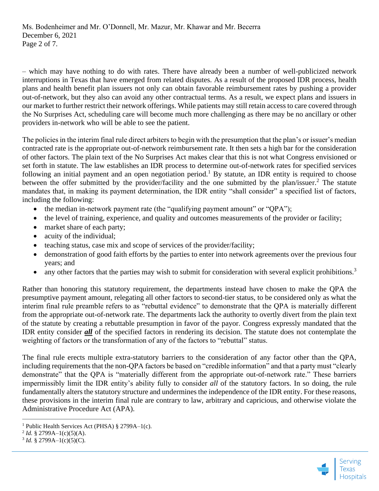– which may have nothing to do with rates. There have already been a number of well-publicized network interruptions in Texas that have emerged from related disputes. As a result of the proposed IDR process, health plans and health benefit plan issuers not only can obtain favorable reimbursement rates by pushing a provider out-of-network, but they also can avoid any other contractual terms. As a result, we expect plans and issuers in our market to further restrict their network offerings. While patients may still retain access to care covered through the No Surprises Act, scheduling care will become much more challenging as there may be no ancillary or other providers in-network who will be able to see the patient.

The policies in the interim final rule direct arbiters to begin with the presumption that the plan's or issuer's median contracted rate is the appropriate out-of-network reimbursement rate. It then sets a high bar for the consideration of other factors. The plain text of the No Surprises Act makes clear that this is not what Congress envisioned or set forth in statute. The law establishes an IDR process to determine out-of-network rates for specified services following an initial payment and an open negotiation period.<sup>1</sup> By statute, an IDR entity is required to choose between the offer submitted by the provider/facility and the one submitted by the plan/issuer.<sup>2</sup> The statute mandates that, in making its payment determination, the IDR entity "shall consider" a specified list of factors, including the following:

- the median in-network payment rate (the "qualifying payment amount" or "QPA");
- the level of training, experience, and quality and outcomes measurements of the provider or facility;
- market share of each party;
- acuity of the individual;
- teaching status, case mix and scope of services of the provider/facility;
- demonstration of good faith efforts by the parties to enter into network agreements over the previous four years; and
- any other factors that the parties may wish to submit for consideration with several explicit prohibitions.<sup>3</sup>

Rather than honoring this statutory requirement, the departments instead have chosen to make the QPA the presumptive payment amount, relegating all other factors to second-tier status, to be considered only as what the interim final rule preamble refers to as "rebuttal evidence" to demonstrate that the QPA is materially different from the appropriate out-of-network rate. The departments lack the authority to overtly divert from the plain text of the statute by creating a rebuttable presumption in favor of the payor. Congress expressly mandated that the IDR entity consider *all* of the specified factors in rendering its decision. The statute does not contemplate the weighting of factors or the transformation of any of the factors to "rebuttal" status.

The final rule erects multiple extra-statutory barriers to the consideration of any factor other than the QPA, including requirements that the non-QPA factors be based on "credible information" and that a party must "clearly demonstrate" that the QPA is "materially different from the appropriate out-of-network rate." These barriers impermissibly limit the IDR entity's ability fully to consider *all* of the statutory factors. In so doing, the rule fundamentally alters the statutory structure and undermines the independence of the IDR entity. For these reasons, these provisions in the interim final rule are contrary to law, arbitrary and capricious, and otherwise violate the Administrative Procedure Act (APA).



<sup>&</sup>lt;sup>1</sup> Public Health Services Act (PHSA)  $§$  2799A-1(c).

<sup>&</sup>lt;sup>2</sup> *Id.* § 2799A–1(c)(5)(A).

 $3$  *Id.* § 2799A–1(c)(5)(C).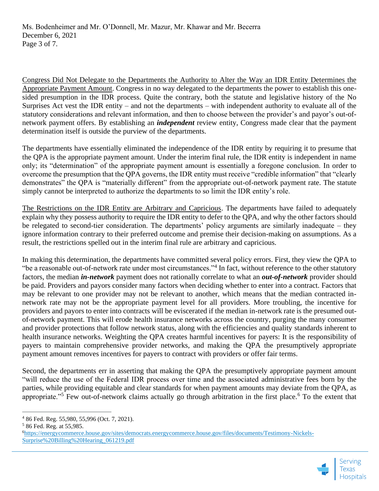Congress Did Not Delegate to the Departments the Authority to Alter the Way an IDR Entity Determines the Appropriate Payment Amount. Congress in no way delegated to the departments the power to establish this onesided presumption in the IDR process. Quite the contrary, both the statute and legislative history of the No Surprises Act vest the IDR entity – and not the departments – with independent authority to evaluate all of the statutory considerations and relevant information, and then to choose between the provider's and payor's out-ofnetwork payment offers. By establishing an *independent* review entity, Congress made clear that the payment determination itself is outside the purview of the departments.

The departments have essentially eliminated the independence of the IDR entity by requiring it to presume that the QPA is the appropriate payment amount. Under the interim final rule, the IDR entity is independent in name only; its "determination" of the appropriate payment amount is essentially a foregone conclusion. In order to overcome the presumption that the QPA governs, the IDR entity must receive "credible information" that "clearly demonstrates" the QPA is "materially different" from the appropriate out-of-network payment rate. The statute simply cannot be interpreted to authorize the departments to so limit the IDR entity's role.

The Restrictions on the IDR Entity are Arbitrary and Capricious. The departments have failed to adequately explain why they possess authority to require the IDR entity to defer to the QPA, and why the other factors should be relegated to second-tier consideration. The departments' policy arguments are similarly inadequate – they ignore information contrary to their preferred outcome and premise their decision-making on assumptions. As a result, the restrictions spelled out in the interim final rule are arbitrary and capricious.

In making this determination, the departments have committed several policy errors. First, they view the QPA to "be a reasonable out-of-network rate under most circumstances."<sup>4</sup> In fact, without reference to the other statutory factors, the median *in-network* payment does not rationally correlate to what an *out-of-network* provider should be paid. Providers and payors consider many factors when deciding whether to enter into a contract. Factors that may be relevant to one provider may not be relevant to another, which means that the median contracted innetwork rate may not be the appropriate payment level for all providers. More troubling, the incentive for providers and payors to enter into contracts will be eviscerated if the median in-network rate is the presumed outof-network payment. This will erode health insurance networks across the country, purging the many consumer and provider protections that follow network status, along with the efficiencies and quality standards inherent to health insurance networks. Weighting the QPA creates harmful incentives for payers: It is the responsibility of payers to maintain comprehensive provider networks, and making the QPA the presumptively appropriate payment amount removes incentives for payers to contract with providers or offer fair terms.

Second, the departments err in asserting that making the QPA the presumptively appropriate payment amount "will reduce the use of the Federal IDR process over time and the associated administrative fees born by the parties, while providing equitable and clear standards for when payment amounts may deviate from the QPA, as appropriate."<sup>5</sup> Few out-of-network claims actually go through arbitration in the first place.<sup>6</sup> To the extent that

<sup>6</sup>[https://energycommerce.house.gov/sites/democrats.energycommerce.house.gov/files/documents/Testimony-Nickels-](https://energycommerce.house.gov/sites/democrats.energycommerce.house.gov/files/documents/Testimony-Nickels-Surprise%20Billing%20Hearing_061219.pdf)[Surprise%20Billing%20Hearing\\_061219.pdf](https://energycommerce.house.gov/sites/democrats.energycommerce.house.gov/files/documents/Testimony-Nickels-Surprise%20Billing%20Hearing_061219.pdf)



<sup>4</sup> 86 Fed. Reg. 55,980, 55,996 (Oct. 7, 2021).

<sup>5</sup> 86 Fed. Reg. at 55,985.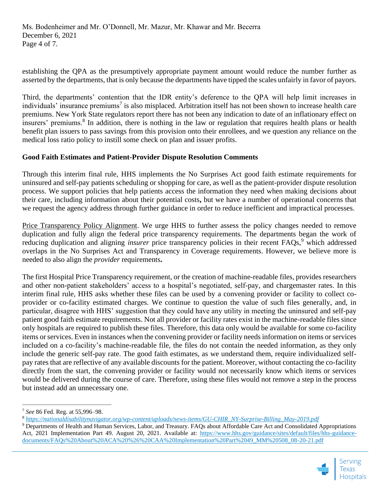establishing the QPA as the presumptively appropriate payment amount would reduce the number further as asserted by the departments, that is only because the departments have tipped the scales unfairly in favor of payors.

Third, the departments' contention that the IDR entity's deference to the QPA will help limit increases in individuals' insurance premiums<sup>7</sup> is also misplaced. Arbitration itself has not been shown to increase health care premiums. New York State regulators report there has not been any indication to date of an inflationary effect on insurers' premiums.<sup>8</sup> In addition, there is nothing in the law or regulation that requires health plans or health benefit plan issuers to pass savings from this provision onto their enrollees, and we question any reliance on the medical loss ratio policy to instill some check on plan and issuer profits.

## **Good Faith Estimates and Patient-Provider Dispute Resolution Comments**

Through this interim final rule, HHS implements the No Surprises Act good faith estimate requirements for uninsured and self-pay patients scheduling or shopping for care, as well as the patient-provider dispute resolution process. We support policies that help patients access the information they need when making decisions about their care, including information about their potential costs**,** but we have a number of operational concerns that we request the agency address through further guidance in order to reduce inefficient and impractical processes.

Price Transparency Policy Alignment. We urge HHS to further assess the policy changes needed to remove duplication and fully align the federal price transparency requirements. The departments began the work of reducing duplication and aligning *insurer* price transparency policies in their recent FAQs,<sup>9</sup> which addressed overlaps in the No Surprises Act and Transparency in Coverage requirements. However, we believe more is needed to also align the *provider* requirements**.** 

The first Hospital Price Transparency requirement, or the creation of machine-readable files, provides researchers and other non-patient stakeholders' access to a hospital's negotiated, self-pay, and chargemaster rates. In this interim final rule, HHS asks whether these files can be used by a convening provider or facility to collect coprovider or co-facility estimated charges. We continue to question the value of such files generally, and, in particular, disagree with HHS' suggestion that they could have any utility in meeting the uninsured and self-pay patient good faith estimate requirements. Not all provider or facility rates exist in the machine-readable files since only hospitals are required to publish these files. Therefore, this data only would be available for some co-facility items or services. Even in instances when the convening provider or facility needs information on items or services included on a co-facility's machine-readable file, the files do not contain the needed information, as they only include the generic self-pay rate. The good faith estimates, as we understand them, require individualized selfpay rates that are reflective of any available discounts for the patient. Moreover, without contacting the co-facility directly from the start, the convening provider or facility would not necessarily know which items or services would be delivered during the course of care. Therefore, using these files would not remove a step in the process but instead add an unnecessary one.

<sup>&</sup>lt;sup>9</sup> Departments of Health and Human Services, Labor, and Treasury. FAQs about Affordable Care Act and Consolidated Appropriations Act, 2021 Implementation Part 49. August 20, 2021. Available at: [https://www.hhs.gov/guidance/sites/default/files/hhs-guidance](https://www.hhs.gov/guidance/sites/default/files/hhs-guidance-documents/FAQs%20About%20ACA%20%26%20CAA%20Implementation%20Part%2049_MM%20508_08-20-21.pdf)[documents/FAQs%20About%20ACA%20%26%20CAA%20Implementation%20Part%2049\\_MM%20508\\_08-20-21.pdf](https://www.hhs.gov/guidance/sites/default/files/hhs-guidance-documents/FAQs%20About%20ACA%20%26%20CAA%20Implementation%20Part%2049_MM%20508_08-20-21.pdf)



<sup>7</sup> *See* 86 Fed. Reg. at 55,996–98.

<sup>8</sup> *[https://nationaldisabilitynavigator.org/wp-content/uploads/news-items/GU-CHIR\\_NY-Surprise-Billing\\_May-2019.pdf](https://nationaldisabilitynavigator.org/wp-content/uploads/news-items/GU-CHIR_NY-Surprise-Billing_May-2019.pdf)*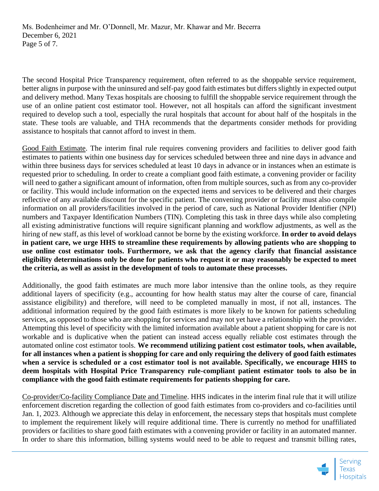The second Hospital Price Transparency requirement, often referred to as the shoppable service requirement, better aligns in purpose with the uninsured and self-pay good faith estimates but differs slightly in expected output and delivery method. Many Texas hospitals are choosing to fulfill the shoppable service requirement through the use of an online patient cost estimator tool. However, not all hospitals can afford the significant investment required to develop such a tool, especially the rural hospitals that account for about half of the hospitals in the state. These tools are valuable, and THA recommends that the departments consider methods for providing assistance to hospitals that cannot afford to invest in them.

Good Faith Estimate. The interim final rule requires convening providers and facilities to deliver good faith estimates to patients within one business day for services scheduled between three and nine days in advance and within three business days for services scheduled at least 10 days in advance or in instances when an estimate is requested prior to scheduling. In order to create a compliant good faith estimate, a convening provider or facility will need to gather a significant amount of information, often from multiple sources, such as from any co-provider or facility. This would include information on the expected items and services to be delivered and their charges reflective of any available discount for the specific patient. The convening provider or facility must also compile information on all providers/facilities involved in the period of care, such as National Provider Identifier (NPI) numbers and Taxpayer Identification Numbers (TIN). Completing this task in three days while also completing all existing administrative functions will require significant planning and workflow adjustments, as well as the hiring of new staff, as this level of workload cannot be borne by the existing workforce. **In order to avoid delays in patient care, we urge HHS to streamline these requirements by allowing patients who are shopping to use online cost estimator tools. Furthermore, we ask that the agency clarify that financial assistance eligibility determinations only be done for patients who request it or may reasonably be expected to meet the criteria, as well as assist in the development of tools to automate these processes.** 

Additionally, the good faith estimates are much more labor intensive than the online tools, as they require additional layers of specificity (e.g., accounting for how health status may alter the course of care, financial assistance eligibility) and therefore, will need to be completed manually in most, if not all, instances. The additional information required by the good faith estimates is more likely to be known for patients scheduling services, as opposed to those who are shopping for services and may not yet have a relationship with the provider. Attempting this level of specificity with the limited information available about a patient shopping for care is not workable and is duplicative when the patient can instead access equally reliable cost estimates through the automated online cost estimator tools. **We recommend utilizing patient cost estimator tools, when available, for all instances when a patient is shopping for care and only requiring the delivery of good faith estimates when a service is scheduled or a cost estimator tool is not available. Specifically, we encourage HHS to deem hospitals with Hospital Price Transparency rule-compliant patient estimator tools to also be in compliance with the good faith estimate requirements for patients shopping for care.**

Co-provider/Co-facility Compliance Date and Timeline. HHS indicates in the interim final rule that it will utilize enforcement discretion regarding the collection of good faith estimates from co-providers and co-facilities until Jan. 1, 2023. Although we appreciate this delay in enforcement, the necessary steps that hospitals must complete to implement the requirement likely will require additional time. There is currently no method for unaffiliated providers or facilities to share good faith estimates with a convening provider or facility in an automated manner. In order to share this information, billing systems would need to be able to request and transmit billing rates,

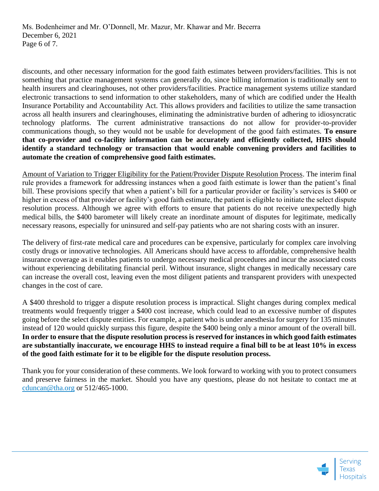discounts, and other necessary information for the good faith estimates between providers/facilities. This is not something that practice management systems can generally do, since billing information is traditionally sent to health insurers and clearinghouses, not other providers/facilities. Practice management systems utilize standard electronic transactions to send information to other stakeholders, many of which are codified under the Health Insurance Portability and Accountability Act. This allows providers and facilities to utilize the same transaction across all health insurers and clearinghouses, eliminating the administrative burden of adhering to idiosyncratic technology platforms. The current administrative transactions do not allow for provider-to-provider communications though, so they would not be usable for development of the good faith estimates. **To ensure that co-provider and co-facility information can be accurately and efficiently collected, HHS should identify a standard technology or transaction that would enable convening providers and facilities to automate the creation of comprehensive good faith estimates.**

Amount of Variation to Trigger Eligibility for the Patient/Provider Dispute Resolution Process. The interim final rule provides a framework for addressing instances when a good faith estimate is lower than the patient's final bill. These provisions specify that when a patient's bill for a particular provider or facility's services is \$400 or higher in excess of that provider or facility's good faith estimate, the patient is eligible to initiate the select dispute resolution process. Although we agree with efforts to ensure that patients do not receive unexpectedly high medical bills, the \$400 barometer will likely create an inordinate amount of disputes for legitimate, medically necessary reasons, especially for uninsured and self-pay patients who are not sharing costs with an insurer.

The delivery of first-rate medical care and procedures can be expensive, particularly for complex care involving costly drugs or innovative technologies. All Americans should have access to affordable, comprehensive health insurance coverage as it enables patients to undergo necessary medical procedures and incur the associated costs without experiencing debilitating financial peril. Without insurance, slight changes in medically necessary care can increase the overall cost, leaving even the most diligent patients and transparent providers with unexpected changes in the cost of care.

A \$400 threshold to trigger a dispute resolution process is impractical. Slight changes during complex medical treatments would frequently trigger a \$400 cost increase, which could lead to an excessive number of disputes going before the select dispute entities. For example, a patient who is under anesthesia for surgery for 135 minutes instead of 120 would quickly surpass this figure, despite the \$400 being only a minor amount of the overall bill. **In order to ensure that the dispute resolution process is reserved for instances in which good faith estimates are substantially inaccurate, we encourage HHS to instead require a final bill to be at least 10% in excess of the good faith estimate for it to be eligible for the dispute resolution process.**

Thank you for your consideration of these comments. We look forward to working with you to protect consumers and preserve fairness in the market. Should you have any questions, please do not hesitate to contact me at [cduncan@tha.org](mailto:cduncan@tha.org) or 512/465-1000.